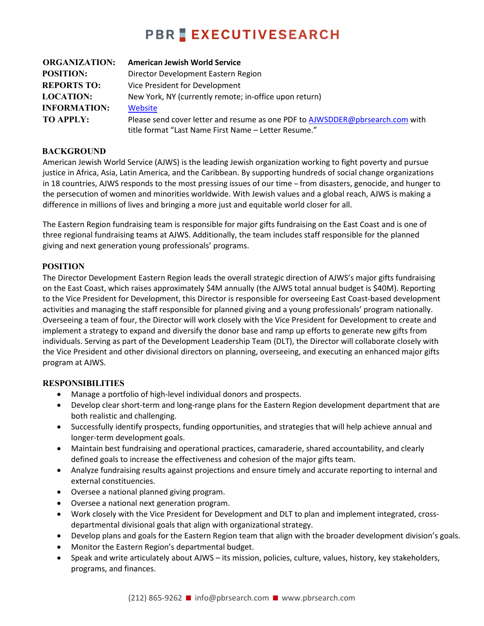## **PBR EXECUTIVESEARCH**

| <b>ORGANIZATION:</b> | <b>American Jewish World Service</b>                                          |
|----------------------|-------------------------------------------------------------------------------|
| <b>POSITION:</b>     | Director Development Eastern Region                                           |
| <b>REPORTS TO:</b>   | Vice President for Development                                                |
| <b>LOCATION:</b>     | New York, NY (currently remote; in-office upon return)                        |
| <b>INFORMATION:</b>  | Website                                                                       |
| <b>TO APPLY:</b>     | Please send cover letter and resume as one PDF to AJWSDDER@pbrsearch.com with |
|                      | title format "Last Name First Name - Letter Resume."                          |

#### **BACKGROUND**

American Jewish World Service (AJWS) is the leading Jewish organization working to fight poverty and pursue justice in Africa, Asia, Latin America, and the Caribbean. By supporting hundreds of social change organizations in 18 countries, AJWS responds to the most pressing issues of our time – from disasters, genocide, and hunger to the persecution of women and minorities worldwide. With Jewish values and a global reach, AJWS is making a difference in millions of lives and bringing a more just and equitable world closer for all.

The Eastern Region fundraising team is responsible for major gifts fundraising on the East Coast and is one of three regional fundraising teams at AJWS. Additionally, the team includes staff responsible for the planned giving and next generation young professionals' programs.

## **POSITION**

The Director Development Eastern Region leads the overall strategic direction of AJWS's major gifts fundraising on the East Coast, which raises approximately \$4M annually (the AJWS total annual budget is \$40M). Reporting to the Vice President for Development, this Director is responsible for overseeing East Coast-based development activities and managing the staff responsible for planned giving and a young professionals' program nationally. Overseeing a team of four, the Director will work closely with the Vice President for Development to create and implement a strategy to expand and diversify the donor base and ramp up efforts to generate new gifts from individuals. Serving as part of the Development Leadership Team (DLT), the Director will collaborate closely with the Vice President and other divisional directors on planning, overseeing, and executing an enhanced major gifts program at AJWS.

## **RESPONSIBILITIES**

- Manage a portfolio of high-level individual donors and prospects.
- Develop clear short-term and long-range plans for the Eastern Region development department that are both realistic and challenging.
- Successfully identify prospects, funding opportunities, and strategies that will help achieve annual and longer-term development goals.
- Maintain best fundraising and operational practices, camaraderie, shared accountability, and clearly defined goals to increase the effectiveness and cohesion of the major gifts team.
- Analyze fundraising results against projections and ensure timely and accurate reporting to internal and external constituencies.
- Oversee a national planned giving program.
- Oversee a national next generation program.
- Work closely with the Vice President for Development and DLT to plan and implement integrated, crossdepartmental divisional goals that align with organizational strategy.
- Develop plans and goals for the Eastern Region team that align with the broader development division's goals.
- Monitor the Eastern Region's departmental budget.
- Speak and write articulately about AJWS its mission, policies, culture, values, history, key stakeholders, programs, and finances.